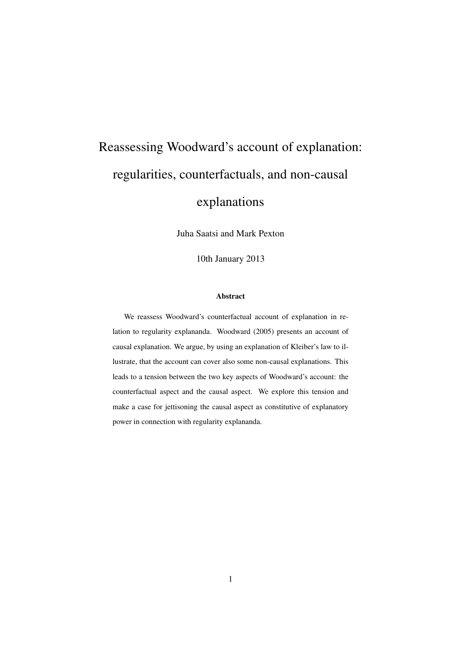# Reassessing Woodward's account of explanation: regularities, counterfactuals, and non-causal

## explanations

Juha Saatsi and Mark Pexton

10th January 2013

#### Abstract

We reassess Woodward's counterfactual account of explanation in relation to regularity explananda. Woodward (2005) presents an account of causal explanation. We argue, by using an explanation of Kleiber's law to illustrate, that the account can cover also some non-causal explanations. This leads to a tension between the two key aspects of Woodward's account: the counterfactual aspect and the causal aspect. We explore this tension and make a case for jettisoning the causal aspect as constitutive of explanatory power in connection with regularity explananda.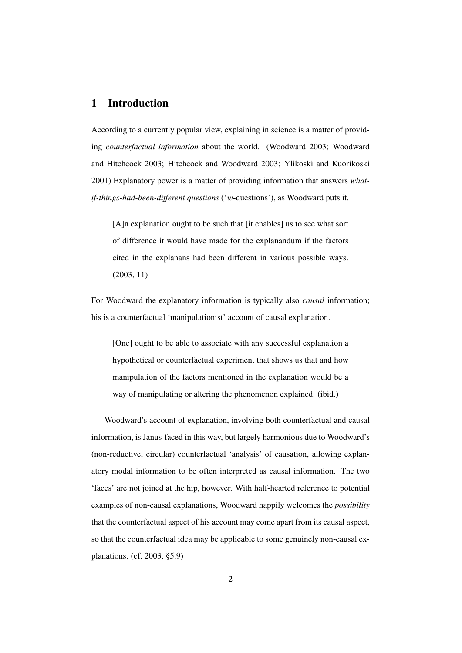#### 1 Introduction

According to a currently popular view, explaining in science is a matter of providing *counterfactual information* about the world. (Woodward 2003; Woodward and Hitchcock 2003; Hitchcock and Woodward 2003; Ylikoski and Kuorikoski 2001) Explanatory power is a matter of providing information that answers *whatif-things-had-been-different questions* ('w-questions'), as Woodward puts it.

[A]n explanation ought to be such that [it enables] us to see what sort of difference it would have made for the explanandum if the factors cited in the explanans had been different in various possible ways. (2003, 11)

For Woodward the explanatory information is typically also *causal* information; his is a counterfactual 'manipulationist' account of causal explanation.

[One] ought to be able to associate with any successful explanation a hypothetical or counterfactual experiment that shows us that and how manipulation of the factors mentioned in the explanation would be a way of manipulating or altering the phenomenon explained. (ibid.)

Woodward's account of explanation, involving both counterfactual and causal information, is Janus-faced in this way, but largely harmonious due to Woodward's (non-reductive, circular) counterfactual 'analysis' of causation, allowing explanatory modal information to be often interpreted as causal information. The two 'faces' are not joined at the hip, however. With half-hearted reference to potential examples of non-causal explanations, Woodward happily welcomes the *possibility* that the counterfactual aspect of his account may come apart from its causal aspect, so that the counterfactual idea may be applicable to some genuinely non-causal explanations. (cf. 2003, §5.9)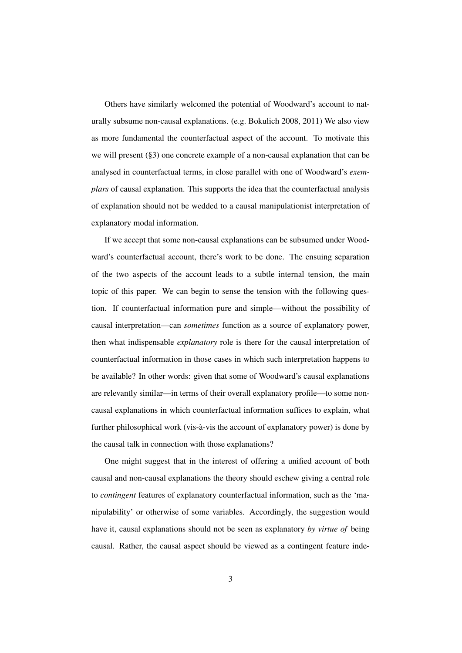Others have similarly welcomed the potential of Woodward's account to naturally subsume non-causal explanations. (e.g. Bokulich 2008, 2011) We also view as more fundamental the counterfactual aspect of the account. To motivate this we will present (§3) one concrete example of a non-causal explanation that can be analysed in counterfactual terms, in close parallel with one of Woodward's *exemplars* of causal explanation. This supports the idea that the counterfactual analysis of explanation should not be wedded to a causal manipulationist interpretation of explanatory modal information.

If we accept that some non-causal explanations can be subsumed under Woodward's counterfactual account, there's work to be done. The ensuing separation of the two aspects of the account leads to a subtle internal tension, the main topic of this paper. We can begin to sense the tension with the following question. If counterfactual information pure and simple—without the possibility of causal interpretation—can *sometimes* function as a source of explanatory power, then what indispensable *explanatory* role is there for the causal interpretation of counterfactual information in those cases in which such interpretation happens to be available? In other words: given that some of Woodward's causal explanations are relevantly similar—in terms of their overall explanatory profile—to some noncausal explanations in which counterfactual information suffices to explain, what further philosophical work (vis-à-vis the account of explanatory power) is done by the causal talk in connection with those explanations?

One might suggest that in the interest of offering a unified account of both causal and non-causal explanations the theory should eschew giving a central role to *contingent* features of explanatory counterfactual information, such as the 'manipulability' or otherwise of some variables. Accordingly, the suggestion would have it, causal explanations should not be seen as explanatory *by virtue of* being causal. Rather, the causal aspect should be viewed as a contingent feature inde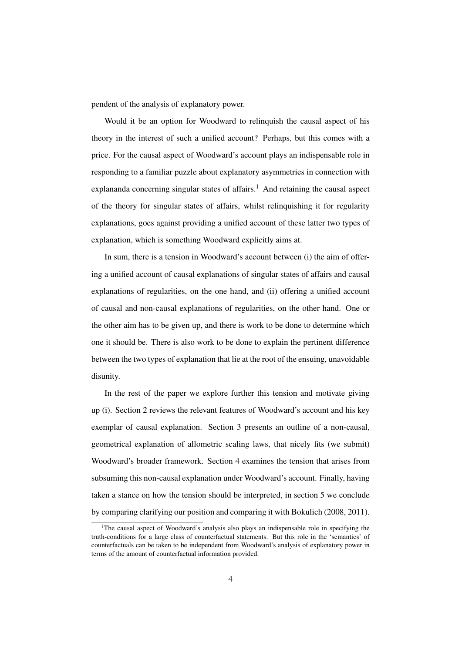pendent of the analysis of explanatory power.

Would it be an option for Woodward to relinquish the causal aspect of his theory in the interest of such a unified account? Perhaps, but this comes with a price. For the causal aspect of Woodward's account plays an indispensable role in responding to a familiar puzzle about explanatory asymmetries in connection with explananda concerning singular states of affairs.<sup>1</sup> And retaining the causal aspect of the theory for singular states of affairs, whilst relinquishing it for regularity explanations, goes against providing a unified account of these latter two types of explanation, which is something Woodward explicitly aims at.

In sum, there is a tension in Woodward's account between (i) the aim of offering a unified account of causal explanations of singular states of affairs and causal explanations of regularities, on the one hand, and (ii) offering a unified account of causal and non-causal explanations of regularities, on the other hand. One or the other aim has to be given up, and there is work to be done to determine which one it should be. There is also work to be done to explain the pertinent difference between the two types of explanation that lie at the root of the ensuing, unavoidable disunity.

In the rest of the paper we explore further this tension and motivate giving up (i). Section 2 reviews the relevant features of Woodward's account and his key exemplar of causal explanation. Section 3 presents an outline of a non-causal, geometrical explanation of allometric scaling laws, that nicely fits (we submit) Woodward's broader framework. Section 4 examines the tension that arises from subsuming this non-causal explanation under Woodward's account. Finally, having taken a stance on how the tension should be interpreted, in section 5 we conclude by comparing clarifying our position and comparing it with Bokulich (2008, 2011).

<sup>&</sup>lt;sup>1</sup>The causal aspect of Woodward's analysis also plays an indispensable role in specifying the truth-conditions for a large class of counterfactual statements. But this role in the 'semantics' of counterfactuals can be taken to be independent from Woodward's analysis of explanatory power in terms of the amount of counterfactual information provided.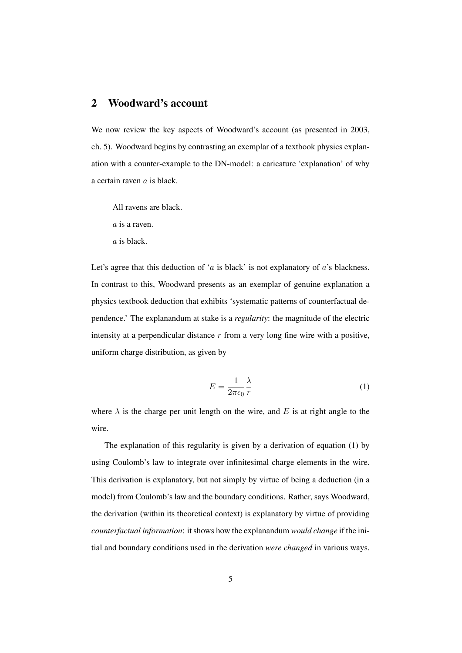#### 2 Woodward's account

We now review the key aspects of Woodward's account (as presented in 2003, ch. 5). Woodward begins by contrasting an exemplar of a textbook physics explanation with a counter-example to the DN-model: a caricature 'explanation' of why a certain raven a is black.

All ravens are black.

a is a raven.

a is black.

Let's agree that this deduction of 'a is black' is not explanatory of  $a$ 's blackness. In contrast to this, Woodward presents as an exemplar of genuine explanation a physics textbook deduction that exhibits 'systematic patterns of counterfactual dependence.' The explanandum at stake is a *regularity*: the magnitude of the electric intensity at a perpendicular distance  $r$  from a very long fine wire with a positive, uniform charge distribution, as given by

$$
E = \frac{1}{2\pi\epsilon_0} \frac{\lambda}{r}
$$
 (1)

where  $\lambda$  is the charge per unit length on the wire, and E is at right angle to the wire.

The explanation of this regularity is given by a derivation of equation (1) by using Coulomb's law to integrate over infinitesimal charge elements in the wire. This derivation is explanatory, but not simply by virtue of being a deduction (in a model) from Coulomb's law and the boundary conditions. Rather, says Woodward, the derivation (within its theoretical context) is explanatory by virtue of providing *counterfactual information*: it shows how the explanandum *would change* if the initial and boundary conditions used in the derivation *were changed* in various ways.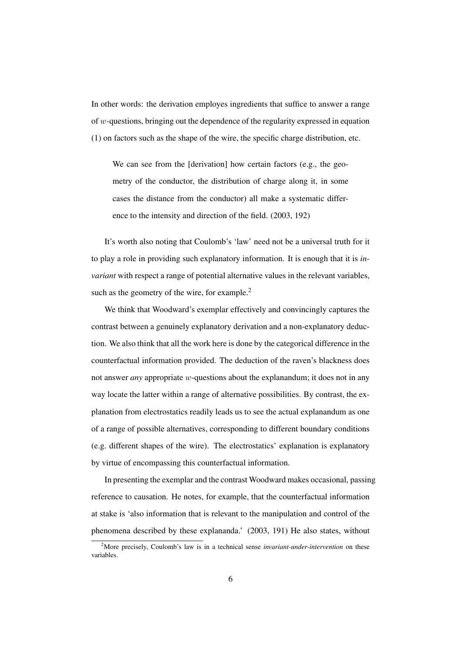In other words: the derivation employes ingredients that suffice to answer a range of w-questions, bringing out the dependence of the regularity expressed in equation (1) on factors such as the shape of the wire, the specific charge distribution, etc.

We can see from the [derivation] how certain factors (e.g., the geometry of the conductor, the distribution of charge along it, in some cases the distance from the conductor) all make a systematic difference to the intensity and direction of the field. (2003, 192)

It's worth also noting that Coulomb's 'law' need not be a universal truth for it to play a role in providing such explanatory information. It is enough that it is *invariant* with respect a range of potential alternative values in the relevant variables, such as the geometry of the wire, for example.<sup>2</sup>

We think that Woodward's exemplar effectively and convincingly captures the contrast between a genuinely explanatory derivation and a non-explanatory deduction. We also think that all the work here is done by the categorical difference in the counterfactual information provided. The deduction of the raven's blackness does not answer *any* appropriate w-questions about the explanandum; it does not in any way locate the latter within a range of alternative possibilities. By contrast, the explanation from electrostatics readily leads us to see the actual explanandum as one of a range of possible alternatives, corresponding to different boundary conditions (e.g. different shapes of the wire). The electrostatics' explanation is explanatory by virtue of encompassing this counterfactual information.

In presenting the exemplar and the contrast Woodward makes occasional, passing reference to causation. He notes, for example, that the counterfactual information at stake is 'also information that is relevant to the manipulation and control of the phenomena described by these explananda.' (2003, 191) He also states, without

<sup>2</sup>More precisely, Coulomb's law is in a technical sense *invariant-under-intervention* on these variables.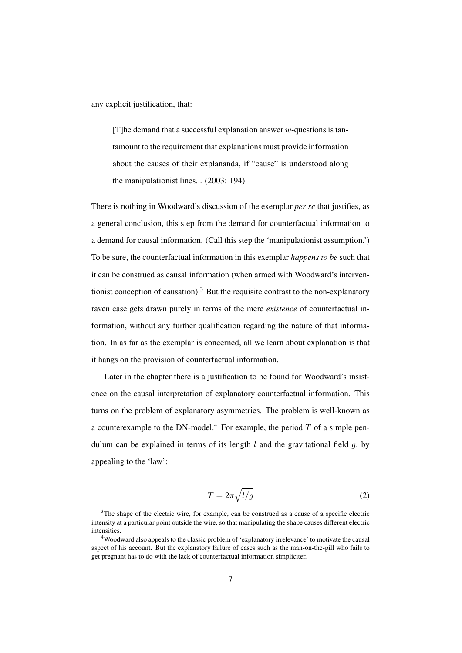any explicit justification, that:

[T]he demand that a successful explanation answer  $w$ -questions is tantamount to the requirement that explanations must provide information about the causes of their explananda, if "cause" is understood along the manipulationist lines... (2003: 194)

There is nothing in Woodward's discussion of the exemplar *per se* that justifies, as a general conclusion, this step from the demand for counterfactual information to a demand for causal information. (Call this step the 'manipulationist assumption.') To be sure, the counterfactual information in this exemplar *happens to be* such that it can be construed as causal information (when armed with Woodward's interventionist conception of causation).<sup>3</sup> But the requisite contrast to the non-explanatory raven case gets drawn purely in terms of the mere *existence* of counterfactual information, without any further qualification regarding the nature of that information. In as far as the exemplar is concerned, all we learn about explanation is that it hangs on the provision of counterfactual information.

Later in the chapter there is a justification to be found for Woodward's insistence on the causal interpretation of explanatory counterfactual information. This turns on the problem of explanatory asymmetries. The problem is well-known as a counterexample to the DN-model.<sup>4</sup> For example, the period  $T$  of a simple pendulum can be explained in terms of its length  $l$  and the gravitational field  $q$ , by appealing to the 'law':

$$
T = 2\pi \sqrt{l/g} \tag{2}
$$

 $3$ The shape of the electric wire, for example, can be construed as a cause of a specific electric intensity at a particular point outside the wire, so that manipulating the shape causes different electric intensities.

<sup>4</sup>Woodward also appeals to the classic problem of 'explanatory irrelevance' to motivate the causal aspect of his account. But the explanatory failure of cases such as the man-on-the-pill who fails to get pregnant has to do with the lack of counterfactual information simpliciter.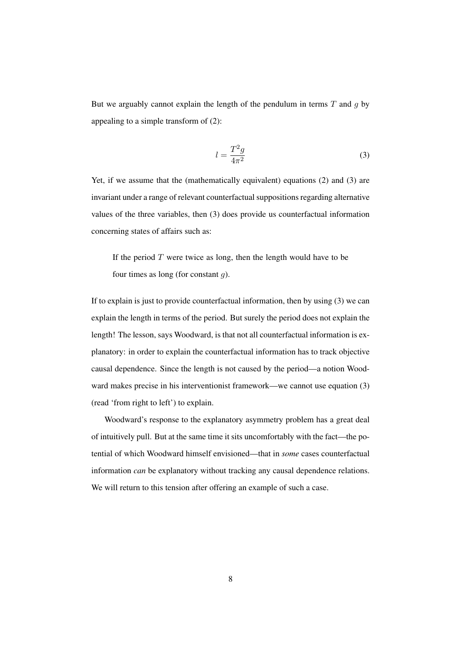But we arguably cannot explain the length of the pendulum in terms  $T$  and  $q$  by appealing to a simple transform of (2):

$$
l = \frac{T^2 g}{4\pi^2} \tag{3}
$$

Yet, if we assume that the (mathematically equivalent) equations (2) and (3) are invariant under a range of relevant counterfactual suppositions regarding alternative values of the three variables, then (3) does provide us counterfactual information concerning states of affairs such as:

If the period  $T$  were twice as long, then the length would have to be four times as long (for constant  $q$ ).

If to explain is just to provide counterfactual information, then by using (3) we can explain the length in terms of the period. But surely the period does not explain the length! The lesson, says Woodward, is that not all counterfactual information is explanatory: in order to explain the counterfactual information has to track objective causal dependence. Since the length is not caused by the period—a notion Woodward makes precise in his interventionist framework—we cannot use equation (3) (read 'from right to left') to explain.

Woodward's response to the explanatory asymmetry problem has a great deal of intuitively pull. But at the same time it sits uncomfortably with the fact—the potential of which Woodward himself envisioned—that in *some* cases counterfactual information *can* be explanatory without tracking any causal dependence relations. We will return to this tension after offering an example of such a case.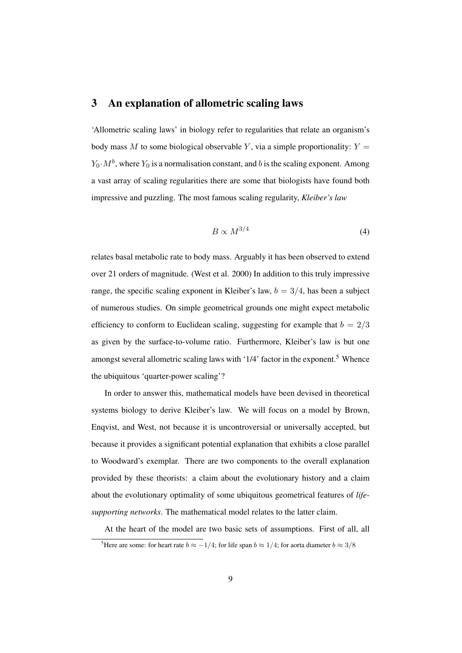#### 3 An explanation of allometric scaling laws

'Allometric scaling laws' in biology refer to regularities that relate an organism's body mass M to some biological observable Y, via a simple proportionality:  $Y =$  $Y_0 \cdot M^b$ , where  $Y_0$  is a normalisation constant, and b is the scaling exponent. Among a vast array of scaling regularities there are some that biologists have found both impressive and puzzling. The most famous scaling regularity, *Kleiber's law*

$$
B \propto M^{3/4} \tag{4}
$$

relates basal metabolic rate to body mass. Arguably it has been observed to extend over 21 orders of magnitude. (West et al. 2000) In addition to this truly impressive range, the specific scaling exponent in Kleiber's law,  $b = 3/4$ , has been a subject of numerous studies. On simple geometrical grounds one might expect metabolic efficiency to conform to Euclidean scaling, suggesting for example that  $b = 2/3$ as given by the surface-to-volume ratio. Furthermore, Kleiber's law is but one amongst several allometric scaling laws with '1/4' factor in the exponent.<sup>5</sup> Whence the ubiquitous 'quarter-power scaling'?

In order to answer this, mathematical models have been devised in theoretical systems biology to derive Kleiber's law. We will focus on a model by Brown, Enqvist, and West, not because it is uncontroversial or universally accepted, but because it provides a significant potential explanation that exhibits a close parallel to Woodward's exemplar. There are two components to the overall explanation provided by these theorists: a claim about the evolutionary history and a claim about the evolutionary optimality of some ubiquitous geometrical features of *lifesupporting networks*. The mathematical model relates to the latter claim.

At the heart of the model are two basic sets of assumptions. First of all, all

<sup>&</sup>lt;sup>5</sup>Here are some: for heart rate  $b \approx -1/4$ ; for life span  $b \approx 1/4$ ; for aorta diameter  $b \approx 3/8$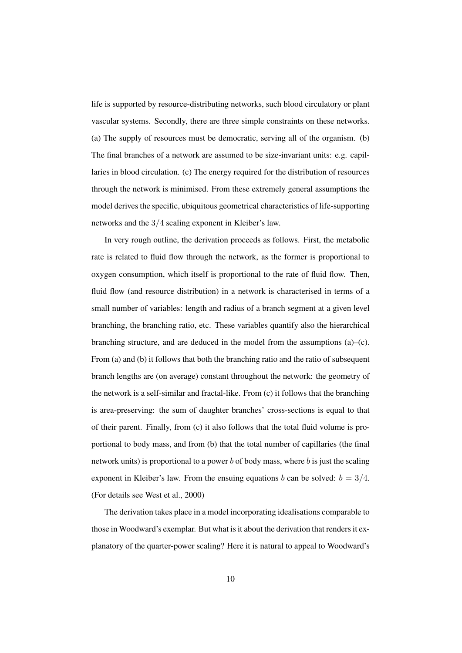life is supported by resource-distributing networks, such blood circulatory or plant vascular systems. Secondly, there are three simple constraints on these networks. (a) The supply of resources must be democratic, serving all of the organism. (b) The final branches of a network are assumed to be size-invariant units: e.g. capillaries in blood circulation. (c) The energy required for the distribution of resources through the network is minimised. From these extremely general assumptions the model derives the specific, ubiquitous geometrical characteristics of life-supporting networks and the 3/4 scaling exponent in Kleiber's law.

In very rough outline, the derivation proceeds as follows. First, the metabolic rate is related to fluid flow through the network, as the former is proportional to oxygen consumption, which itself is proportional to the rate of fluid flow. Then, fluid flow (and resource distribution) in a network is characterised in terms of a small number of variables: length and radius of a branch segment at a given level branching, the branching ratio, etc. These variables quantify also the hierarchical branching structure, and are deduced in the model from the assumptions (a)–(c). From (a) and (b) it follows that both the branching ratio and the ratio of subsequent branch lengths are (on average) constant throughout the network: the geometry of the network is a self-similar and fractal-like. From (c) it follows that the branching is area-preserving: the sum of daughter branches' cross-sections is equal to that of their parent. Finally, from (c) it also follows that the total fluid volume is proportional to body mass, and from (b) that the total number of capillaries (the final network units) is proportional to a power  $b$  of body mass, where  $b$  is just the scaling exponent in Kleiber's law. From the ensuing equations b can be solved:  $b = 3/4$ . (For details see West et al., 2000)

The derivation takes place in a model incorporating idealisations comparable to those in Woodward's exemplar. But what is it about the derivation that renders it explanatory of the quarter-power scaling? Here it is natural to appeal to Woodward's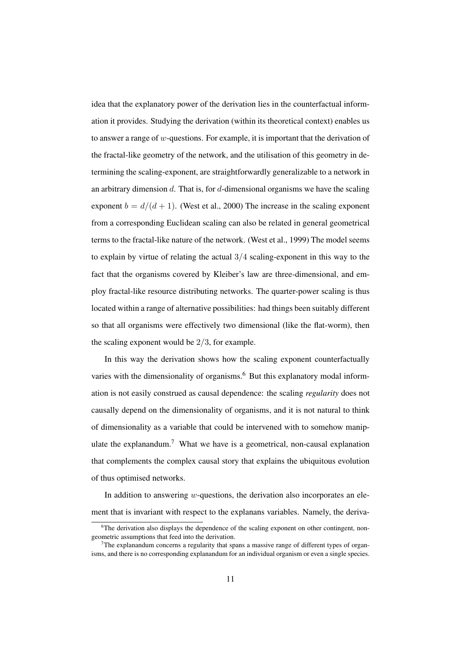idea that the explanatory power of the derivation lies in the counterfactual information it provides. Studying the derivation (within its theoretical context) enables us to answer a range of w-questions. For example, it is important that the derivation of the fractal-like geometry of the network, and the utilisation of this geometry in determining the scaling-exponent, are straightforwardly generalizable to a network in an arbitrary dimension  $d$ . That is, for  $d$ -dimensional organisms we have the scaling exponent  $b = d/(d + 1)$ . (West et al., 2000) The increase in the scaling exponent from a corresponding Euclidean scaling can also be related in general geometrical terms to the fractal-like nature of the network. (West et al., 1999) The model seems to explain by virtue of relating the actual 3/4 scaling-exponent in this way to the fact that the organisms covered by Kleiber's law are three-dimensional, and employ fractal-like resource distributing networks. The quarter-power scaling is thus located within a range of alternative possibilities: had things been suitably different so that all organisms were effectively two dimensional (like the flat-worm), then the scaling exponent would be  $2/3$ , for example.

In this way the derivation shows how the scaling exponent counterfactually varies with the dimensionality of organisms.<sup>6</sup> But this explanatory modal information is not easily construed as causal dependence: the scaling *regularity* does not causally depend on the dimensionality of organisms, and it is not natural to think of dimensionality as a variable that could be intervened with to somehow manipulate the explanandum.<sup>7</sup> What we have is a geometrical, non-causal explanation that complements the complex causal story that explains the ubiquitous evolution of thus optimised networks.

In addition to answering  $w$ -questions, the derivation also incorporates an element that is invariant with respect to the explanans variables. Namely, the deriva-

 $6$ The derivation also displays the dependence of the scaling exponent on other contingent, nongeometric assumptions that feed into the derivation.

<sup>&</sup>lt;sup>7</sup>The explanandum concerns a regularity that spans a massive range of different types of organisms, and there is no corresponding explanandum for an individual organism or even a single species.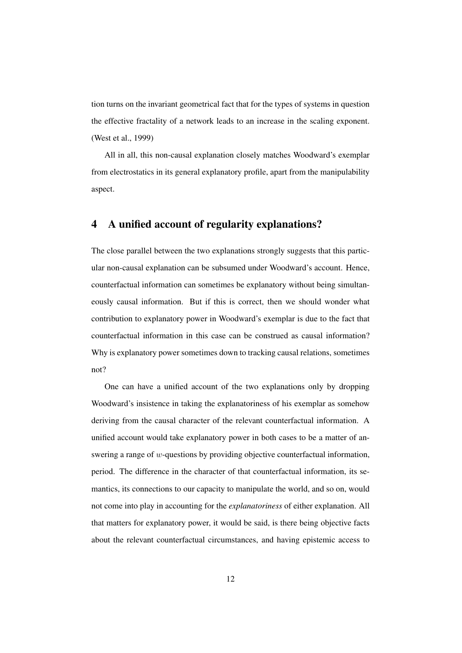tion turns on the invariant geometrical fact that for the types of systems in question the effective fractality of a network leads to an increase in the scaling exponent. (West et al., 1999)

All in all, this non-causal explanation closely matches Woodward's exemplar from electrostatics in its general explanatory profile, apart from the manipulability aspect.

### 4 A unified account of regularity explanations?

The close parallel between the two explanations strongly suggests that this particular non-causal explanation can be subsumed under Woodward's account. Hence, counterfactual information can sometimes be explanatory without being simultaneously causal information. But if this is correct, then we should wonder what contribution to explanatory power in Woodward's exemplar is due to the fact that counterfactual information in this case can be construed as causal information? Why is explanatory power sometimes down to tracking causal relations, sometimes not?

One can have a unified account of the two explanations only by dropping Woodward's insistence in taking the explanatoriness of his exemplar as somehow deriving from the causal character of the relevant counterfactual information. A unified account would take explanatory power in both cases to be a matter of answering a range of w-questions by providing objective counterfactual information, period. The difference in the character of that counterfactual information, its semantics, its connections to our capacity to manipulate the world, and so on, would not come into play in accounting for the *explanatoriness* of either explanation. All that matters for explanatory power, it would be said, is there being objective facts about the relevant counterfactual circumstances, and having epistemic access to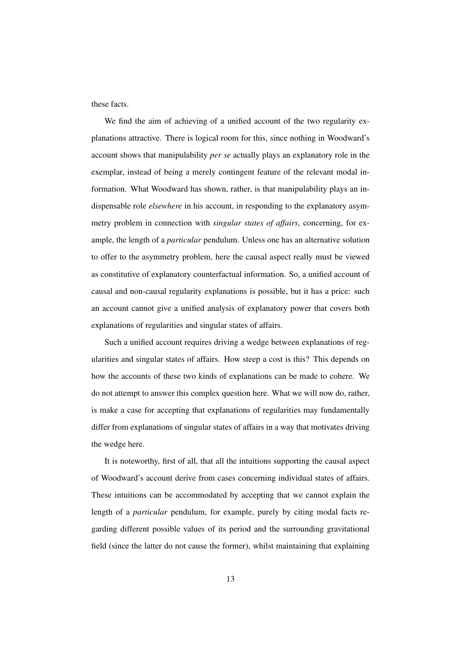these facts.

We find the aim of achieving of a unified account of the two regularity explanations attractive. There is logical room for this, since nothing in Woodward's account shows that manipulability *per se* actually plays an explanatory role in the exemplar, instead of being a merely contingent feature of the relevant modal information. What Woodward has shown, rather, is that manipulability plays an indispensable role *elsewhere* in his account, in responding to the explanatory asymmetry problem in connection with *singular states of affairs*, concerning, for example, the length of a *particular* pendulum. Unless one has an alternative solution to offer to the asymmetry problem, here the causal aspect really must be viewed as constitutive of explanatory counterfactual information. So, a unified account of causal and non-causal regularity explanations is possible, but it has a price: such an account cannot give a unified analysis of explanatory power that covers both explanations of regularities and singular states of affairs.

Such a unified account requires driving a wedge between explanations of regularities and singular states of affairs. How steep a cost is this? This depends on how the accounts of these two kinds of explanations can be made to cohere. We do not attempt to answer this complex question here. What we will now do, rather, is make a case for accepting that explanations of regularities may fundamentally differ from explanations of singular states of affairs in a way that motivates driving the wedge here.

It is noteworthy, first of all, that all the intuitions supporting the causal aspect of Woodward's account derive from cases concerning individual states of affairs. These intuitions can be accommodated by accepting that we cannot explain the length of a *particular* pendulum, for example, purely by citing modal facts regarding different possible values of its period and the surrounding gravitational field (since the latter do not cause the former), whilst maintaining that explaining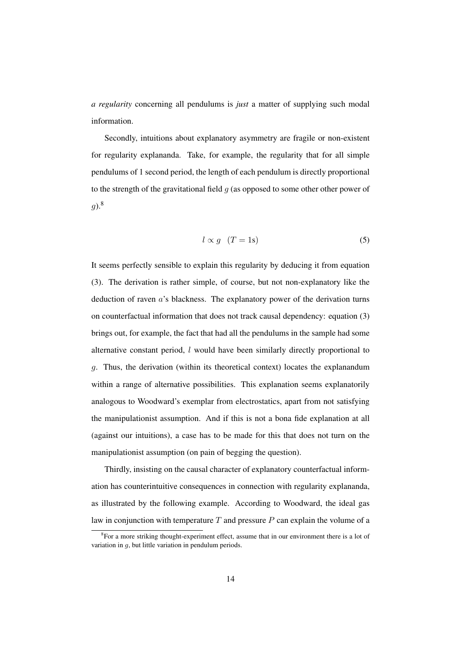*a regularity* concerning all pendulums is *just* a matter of supplying such modal information.

Secondly, intuitions about explanatory asymmetry are fragile or non-existent for regularity explananda. Take, for example, the regularity that for all simple pendulums of 1 second period, the length of each pendulum is directly proportional to the strength of the gravitational field  $q$  (as opposed to some other other power of  $g$ ).<sup>8</sup>

$$
l \propto g \quad (T = 1s) \tag{5}
$$

It seems perfectly sensible to explain this regularity by deducing it from equation (3). The derivation is rather simple, of course, but not non-explanatory like the deduction of raven a's blackness. The explanatory power of the derivation turns on counterfactual information that does not track causal dependency: equation (3) brings out, for example, the fact that had all the pendulums in the sample had some alternative constant period,  $l$  would have been similarly directly proportional to g. Thus, the derivation (within its theoretical context) locates the explanandum within a range of alternative possibilities. This explanation seems explanatorily analogous to Woodward's exemplar from electrostatics, apart from not satisfying the manipulationist assumption. And if this is not a bona fide explanation at all (against our intuitions), a case has to be made for this that does not turn on the manipulationist assumption (on pain of begging the question).

Thirdly, insisting on the causal character of explanatory counterfactual information has counterintuitive consequences in connection with regularity explananda, as illustrated by the following example. According to Woodward, the ideal gas law in conjunction with temperature  $T$  and pressure  $P$  can explain the volume of a

<sup>&</sup>lt;sup>8</sup>For a more striking thought-experiment effect, assume that in our environment there is a lot of variation in  $q$ , but little variation in pendulum periods.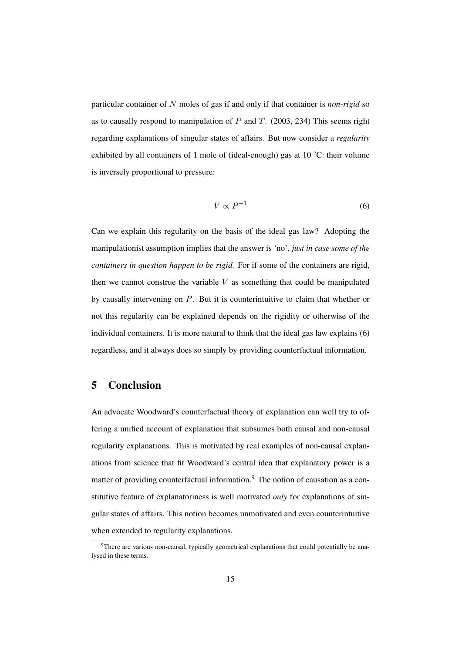particular container of N moles of gas if and only if that container is *non-rigid* so as to causally respond to manipulation of  $P$  and  $T$ . (2003, 234) This seems right regarding explanations of singular states of affairs. But now consider a *regularity* exhibited by all containers of 1 mole of (ideal-enough) gas at 10 ˚C: their volume is inversely proportional to pressure:

$$
V \propto P^{-1} \tag{6}
$$

Can we explain this regularity on the basis of the ideal gas law? Adopting the manipulationist assumption implies that the answer is 'no', *just in case some of the containers in question happen to be rigid.* For if some of the containers are rigid, then we cannot construe the variable  $V$  as something that could be manipulated by causally intervening on P. But it is counterintuitive to claim that whether or not this regularity can be explained depends on the rigidity or otherwise of the individual containers. It is more natural to think that the ideal gas law explains (6) regardless, and it always does so simply by providing counterfactual information.

#### 5 Conclusion

An advocate Woodward's counterfactual theory of explanation can well try to offering a unified account of explanation that subsumes both causal and non-causal regularity explanations. This is motivated by real examples of non-causal explanations from science that fit Woodward's central idea that explanatory power is a matter of providing counterfactual information.<sup>9</sup> The notion of causation as a constitutive feature of explanatoriness is well motivated *only* for explanations of singular states of affairs. This notion becomes unmotivated and even counterintuitive when extended to regularity explanations.

<sup>&</sup>lt;sup>9</sup>There are various non-causal, typically geometrical explanations that could potentially be analysed in these terms.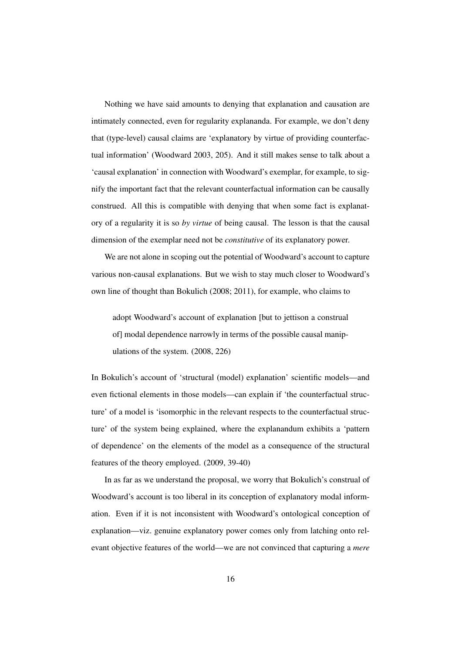Nothing we have said amounts to denying that explanation and causation are intimately connected, even for regularity explananda. For example, we don't deny that (type-level) causal claims are 'explanatory by virtue of providing counterfactual information' (Woodward 2003, 205). And it still makes sense to talk about a 'causal explanation' in connection with Woodward's exemplar, for example, to signify the important fact that the relevant counterfactual information can be causally construed. All this is compatible with denying that when some fact is explanatory of a regularity it is so *by virtue* of being causal. The lesson is that the causal dimension of the exemplar need not be *constitutive* of its explanatory power.

We are not alone in scoping out the potential of Woodward's account to capture various non-causal explanations. But we wish to stay much closer to Woodward's own line of thought than Bokulich (2008; 2011), for example, who claims to

adopt Woodward's account of explanation [but to jettison a construal of] modal dependence narrowly in terms of the possible causal manipulations of the system. (2008, 226)

In Bokulich's account of 'structural (model) explanation' scientific models—and even fictional elements in those models—can explain if 'the counterfactual structure' of a model is 'isomorphic in the relevant respects to the counterfactual structure' of the system being explained, where the explanandum exhibits a 'pattern of dependence' on the elements of the model as a consequence of the structural features of the theory employed. (2009, 39-40)

In as far as we understand the proposal, we worry that Bokulich's construal of Woodward's account is too liberal in its conception of explanatory modal information. Even if it is not inconsistent with Woodward's ontological conception of explanation—viz. genuine explanatory power comes only from latching onto relevant objective features of the world—we are not convinced that capturing a *mere*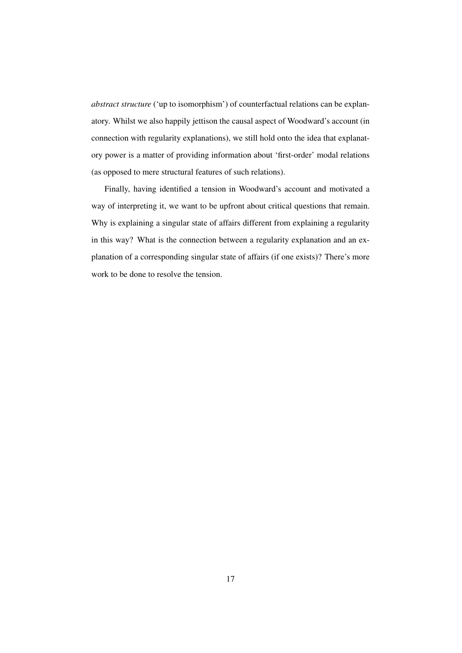*abstract structure* ('up to isomorphism') of counterfactual relations can be explanatory. Whilst we also happily jettison the causal aspect of Woodward's account (in connection with regularity explanations), we still hold onto the idea that explanatory power is a matter of providing information about 'first-order' modal relations (as opposed to mere structural features of such relations).

Finally, having identified a tension in Woodward's account and motivated a way of interpreting it, we want to be upfront about critical questions that remain. Why is explaining a singular state of affairs different from explaining a regularity in this way? What is the connection between a regularity explanation and an explanation of a corresponding singular state of affairs (if one exists)? There's more work to be done to resolve the tension.